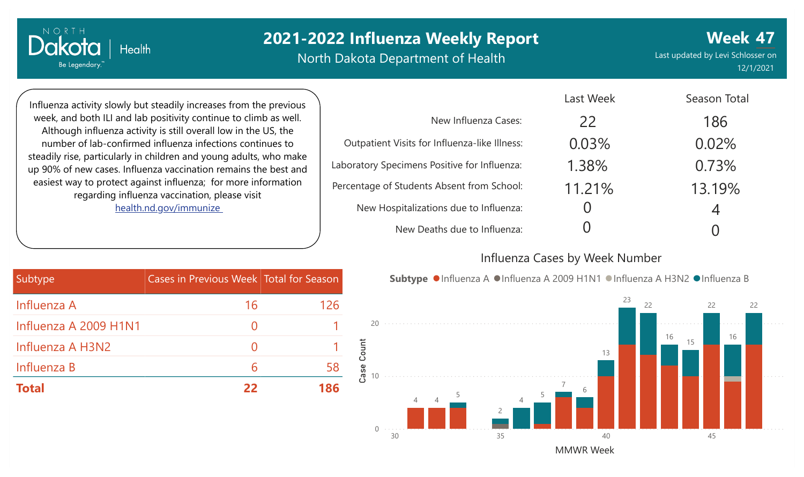North Dakota Department of Health

**Week 47** Last updated by Levi Schlosser on 12/1/2021

Influenza activity slowly but steadily increases from the previous week, and both ILI and lab positivity continue to climb as well. Although influenza activity is still overall low in the US, the number of lab-confirmed influenza infections continues to steadily rise, particularly in children and young adults, who make up 90% of new cases. Influenza vaccination remains the best and easiest way to protect against influenza; for more information regarding influenza vaccination, please visit [health.nd.gov/immunize](http://health.nd.gov/immunize)

**Health** 

NORTH

Dakota

Be Legendary.

|                                               | Last Week | Season Total |
|-----------------------------------------------|-----------|--------------|
| New Influenza Cases:                          | 22        | 186          |
| Outpatient Visits for Influenza-like Illness: | 0.03%     | 0.02%        |
| Laboratory Specimens Positive for Influenza:  | 1.38%     | 0.73%        |
| Percentage of Students Absent from School:    | 11.21%    | 13.19%       |
| New Hospitalizations due to Influenza:        |           | 4            |
| New Deaths due to Influenza:                  |           |              |

#### Influenza Cases by Week Number

|  |  | Subtype ● Influenza A ● Influenza A 2009 H1N1 ● Influenza A H3N2 ● Influenza B |  |  |
|--|--|--------------------------------------------------------------------------------|--|--|
|--|--|--------------------------------------------------------------------------------|--|--|



| Subtype               | Cases in Previous Week Total for Season |     |
|-----------------------|-----------------------------------------|-----|
| Influenza A           | 16                                      | 126 |
| Influenza A 2009 H1N1 |                                         |     |
| Influenza A H3N2      |                                         |     |
| Influenza B           | 6                                       | 58  |
| <b>Total</b>          | 22                                      | 186 |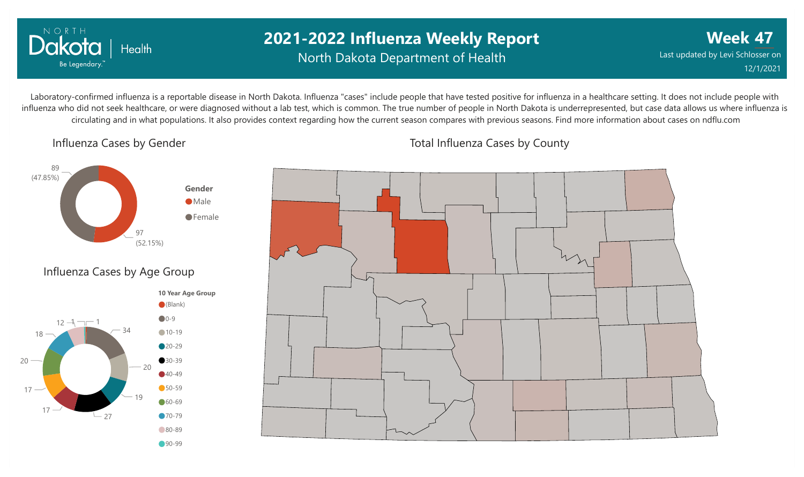

## **2021-2022 Influenza Weekly Report** North Dakota Department of Health

**Week 47** Last updated by Levi Schlosser on 12/1/2021

Laboratory-confirmed influenza is a reportable disease in North Dakota. Influenza "cases" include people that have tested positive for influenza in a healthcare setting. It does not include people with influenza who did not seek healthcare, or were diagnosed without a lab test, which is common. The true number of people in North Dakota is underrepresented, but case data allows us where influenza is circulating and in what populations. It also provides context regarding how the current season compares with previous seasons. Find more information about cases on ndflu.com

Influenza Cases by Gender





Total Influenza Cases by County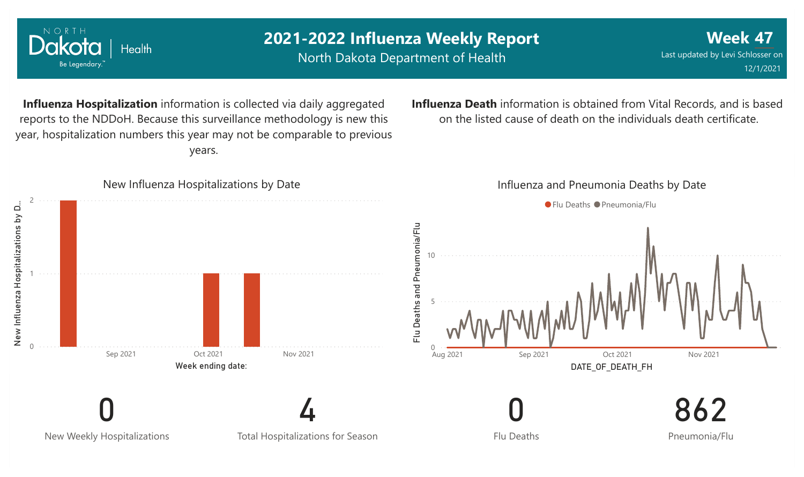

NORTH

Dakota

Health

North Dakota Department of Health

**Week 47** Last updated by Levi Schlosser on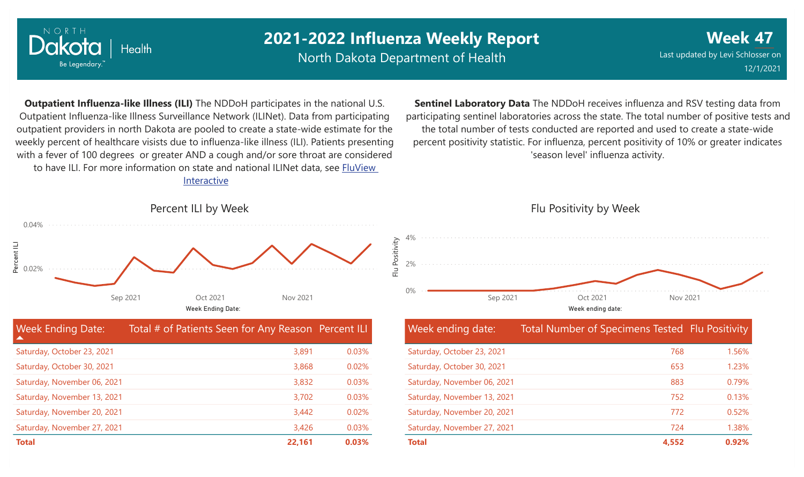

North Dakota Department of Health

**Week 47** Last updated by Levi Schlosser on 12/1/2021

**Outpatient Influenza-like Illness (ILI)** The NDDoH participates in the national U.S. Outpatient Influenza-like Illness Surveillance Network (ILINet). Data from participating outpatient providers in north Dakota are pooled to create a state-wide estimate for the weekly percent of healthcare visists due to influenza-like illness (ILI). Patients presenting with a fever of 100 degrees or greater AND a cough and/or sore throat are considered to have ILI. For more information [on state and national ILINet data, see FluView](http://fluview%20interactive/) Interactive

**Sentinel Laboratory Data** The NDDoH receives influenza and RSV testing data from participating sentinel laboratories across the state. The total number of positive tests and the total number of tests conducted are reported and used to create a state-wide percent positivity statistic. For influenza, percent positivity of 10% or greater indicates 'season level' influenza activity.



| <b>Week Ending Date:</b><br>▲ | Total # of Patients Seen for Any Reason Percent ILI |          |
|-------------------------------|-----------------------------------------------------|----------|
| Saturday, October 23, 2021    | 3,891                                               | 0.03%    |
| Saturday, October 30, 2021    | 3,868                                               | 0.02%    |
| Saturday, November 06, 2021   | 3,832                                               | 0.03%    |
| Saturday, November 13, 2021   | 3,702                                               | 0.03%    |
| Saturday, November 20, 2021   | 3,442                                               | $0.02\%$ |
| Saturday, November 27, 2021   | 3,426                                               | 0.03%    |
| <b>Total</b>                  | 22,161                                              | 0.03%    |

## 0% 2% 4% Week ending date: Sep 2021 Oct 2021 Nov 2021

Flu Positivity by Week

| Week ending date:           | Total Number of Specimens Tested Flu Positivity |       |
|-----------------------------|-------------------------------------------------|-------|
| Saturday, October 23, 2021  | 768                                             | 1.56% |
| Saturday, October 30, 2021  | 653                                             | 1.23% |
| Saturday, November 06, 2021 | 883                                             | 0.79% |
| Saturday, November 13, 2021 | 752                                             | 0.13% |
| Saturday, November 20, 2021 | 772                                             | 0.52% |
| Saturday, November 27, 2021 | 724                                             | 1.38% |
| <b>Total</b>                | 4.552                                           | 0.92% |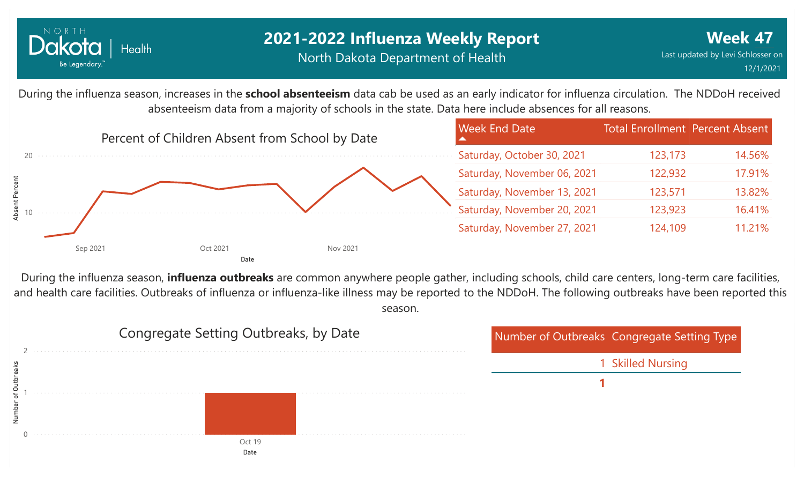

## **2021-2022 Influenza Weekly Report** North Dakota Department of Health

During the influenza season, increases in the **school absenteeism** data cab be used as an early indicator for influenza circulation. The NDDoH received absenteeism data from a majority of schools in the state. Data here include absences for all reasons.



During the influenza season, **influenza outbreaks** are common anywhere people gather, including schools, child care centers, long-term care facilities, and health care facilities. Outbreaks of influenza or influenza-like illness may be reported to the NDDoH. The following outbreaks have been reported this season.

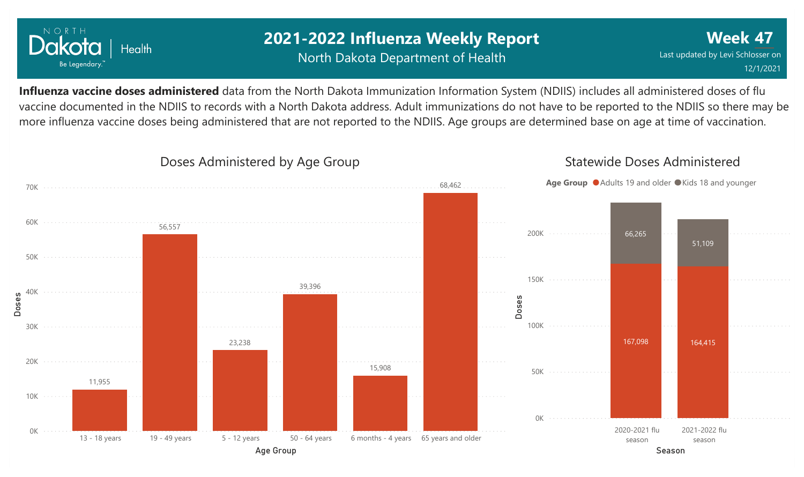

## **2021-2022 Influenza Weekly Report** North Dakota Department of Health

**Week 47** Last updated by Levi Schlosser on 12/1/2021

Statewide Doses Administered

**Influenza vaccine doses administered** data from the North Dakota Immunization Information System (NDIIS) includes all administered doses of flu vaccine documented in the NDIIS to records with a North Dakota address. Adult immunizations do not have to be reported to the NDIIS so there may be more influenza vaccine doses being administered that are not reported to the NDIIS. Age groups are determined base on age at time of vaccination.



#### Doses Administered by Age Group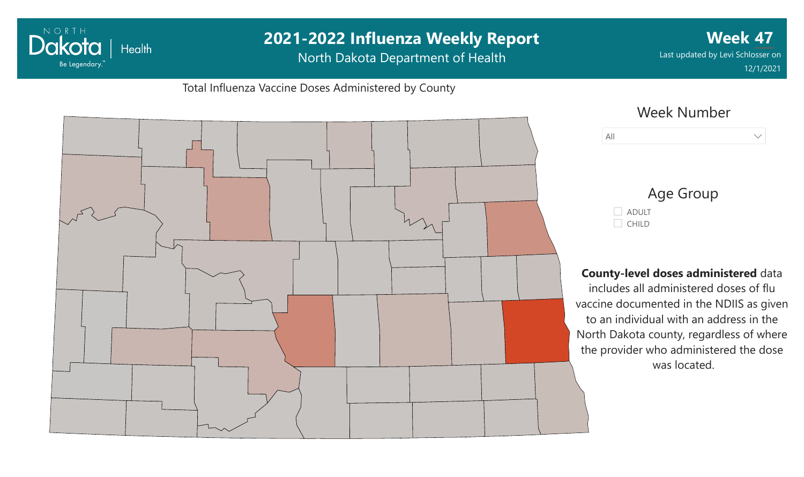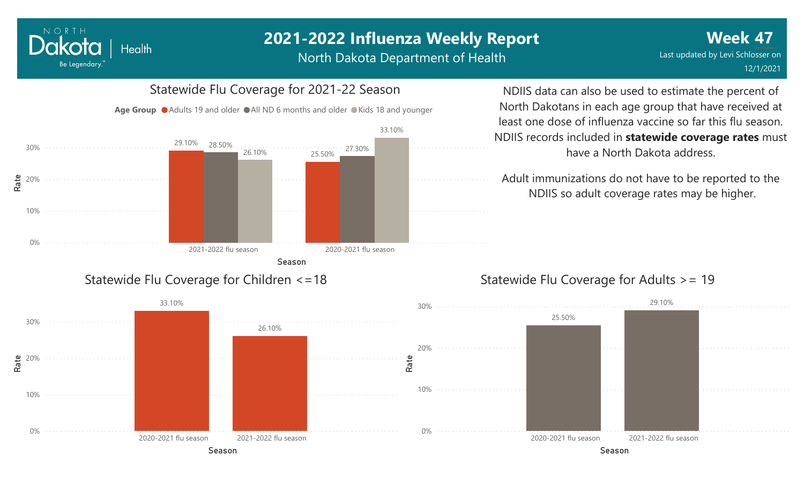#### NORTH Dakota Health Be Legendary.

# **2021-2022 Influenza Weekly Report**

North Dakota Department of Health



NDIIS data can also be used to estimate the percent of North Dakotans in each age group that have received at least one dose of influenza vaccine so far this flu season. NDIIS records included in **statewide coverage rates** must have a North Dakota address.

Adult immunizations do not have to be reported to the NDIIS so adult coverage rates may be higher.



#### Statewide Flu Coverage for Adults >= 19